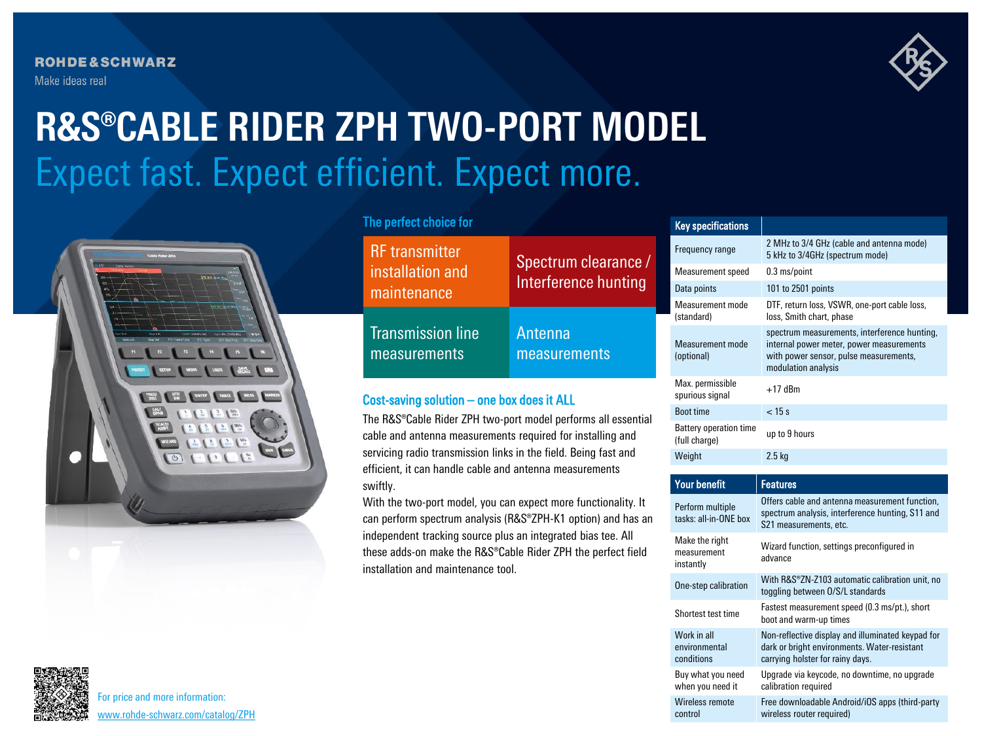**ROHDE&SCHWARZ** Make ideas real



# Expect fast. Expect efficient. Expect more. **R&S®CABLE RIDER ZPH TWO-PORT MODEL**



## The perfect choice for

RF transmitter installation and maintenance Spectrum clearance / Interference hunting Transmission line measurements **Antenna** measurements

## Cost-saving solution – one box does it ALL

The R&S®Cable Rider ZPH two-port model performs all essential cable and antenna measurements required for installing and servicing radio transmission links in the field. Being fast and efficient, it can handle cable and antenna measurements swiftly.

With the two-port model, you can expect more functionality. It can perform spectrum analysis (R&S®ZPH-K1 option) and has an independent tracking source plus an integrated bias tee. All these adds-on make the R&S®Cable Rider ZPH the perfect field installation and maintenance tool.

|   | <b>Key specifications</b>                      |                                                                                                                                                           |
|---|------------------------------------------------|-----------------------------------------------------------------------------------------------------------------------------------------------------------|
|   | Frequency range                                | 2 MHz to 3/4 GHz (cable and antenna mode)<br>5 kHz to 3/4GHz (spectrum mode)                                                                              |
|   | Measurement speed                              | 0.3 ms/point                                                                                                                                              |
|   | Data points                                    | 101 to 2501 points                                                                                                                                        |
|   | Measurement mode<br>(standard)                 | DTF, return loss, VSWR, one-port cable loss,<br>loss, Smith chart, phase                                                                                  |
|   | Measurement mode<br>(optional)                 | spectrum measurements, interference hunting,<br>internal power meter, power measurements<br>with power sensor, pulse measurements,<br>modulation analysis |
|   | Max. permissible<br>spurious signal            | $+17$ dBm                                                                                                                                                 |
|   | <b>Boot time</b>                               | $<$ 15 s                                                                                                                                                  |
|   | <b>Battery operation time</b><br>(full charge) | up to 9 hours                                                                                                                                             |
|   |                                                |                                                                                                                                                           |
|   | Weight                                         | $2.5$ kg                                                                                                                                                  |
|   |                                                |                                                                                                                                                           |
|   | <b>Your benefit</b>                            | <b>Features</b>                                                                                                                                           |
|   | Perform multiple<br>tasks: all-in-ONF hox      | Offers cable and antenna measurement function,<br>spectrum analysis, interference hunting, S11 and<br>S21 measurements, etc.                              |
|   | Make the right<br>measurement<br>instantly     | Wizard function, settings preconfigured in<br>advance                                                                                                     |
|   | One-step calibration                           | With R&S®ZN-Z103 automatic calibration unit, no<br>toggling between O/S/L standards                                                                       |
|   | Shortest test time                             | Fastest measurement speed (0.3 ms/pt.), short<br>boot and warm-up times                                                                                   |
| ۱ | Work in all<br>environmental<br>conditions     | Non-reflective display and illuminated keypad for<br>dark or bright environments. Water-resistant<br>carrying holster for rainy days.                     |

Free downloadable Android/iOS apps (third-party

wireless router required)

Wireless remote control



For price and more information: [www.rohde-schwarz.com/catalog/ZPH](http://www.rohde-schwarz.com/catalog/ZPH)